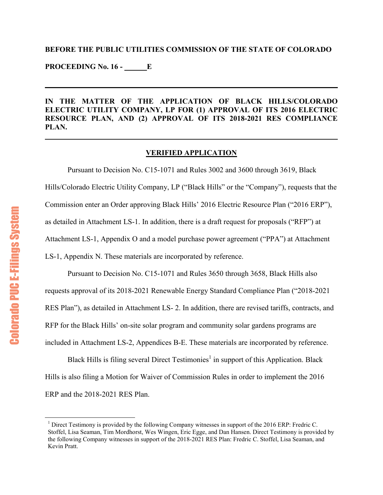## **BEFORE THE PUBLIC UTILITIES COMMISSION OF THE STATE OF COLORADO**

**PROCEEDING No. 16 - \_\_\_\_\_\_E**

 $\overline{a}$ 

**IN THE MATTER OF THE APPLICATION OF BLACK HILLS/COLORADO ELECTRIC UTILITY COMPANY, LP FOR (1) APPROVAL OF ITS 2016 ELECTRIC RESOURCE PLAN, AND (2) APPROVAL OF ITS 2018-2021 RES COMPLIANCE PLAN.** 

## **VERIFIED APPLICATION**

 Pursuant to Decision No. C15-1071 and Rules 3002 and 3600 through 3619, Black Hills/Colorado Electric Utility Company, LP ("Black Hills" or the "Company"), requests that the Commission enter an Order approving Black Hills' 2016 Electric Resource Plan ("2016 ERP"), as detailed in Attachment LS-1. In addition, there is a draft request for proposals ("RFP") at Attachment LS-1, Appendix O and a model purchase power agreement ("PPA") at Attachment LS-1, Appendix N. These materials are incorporated by reference.

 Pursuant to Decision No. C15-1071 and Rules 3650 through 3658, Black Hills also requests approval of its 2018-2021 Renewable Energy Standard Compliance Plan ("2018-2021 RES Plan"), as detailed in Attachment LS- 2. In addition, there are revised tariffs, contracts, and RFP for the Black Hills' on-site solar program and community solar gardens programs are included in Attachment LS-2, Appendices B-E. These materials are incorporated by reference.

Black Hills is filing several Direct Testimonies<sup>1</sup> in support of this Application. Black Hills is also filing a Motion for Waiver of Commission Rules in order to implement the 2016 ERP and the 2018-2021 RES Plan.

<sup>&</sup>lt;sup>1</sup> Direct Testimony is provided by the following Company witnesses in support of the 2016 ERP: Fredric C. Stoffel, Lisa Seaman, Tim Mordhorst, Wes Wingen, Eric Egge, and Dan Hansen. Direct Testimony is provided by the following Company witnesses in support of the 2018-2021 RES Plan: Fredric C. Stoffel, Lisa Seaman, and Kevin Pratt.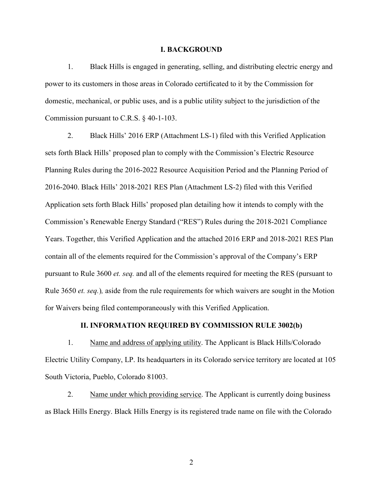#### **I. BACKGROUND**

1. Black Hills is engaged in generating, selling, and distributing electric energy and power to its customers in those areas in Colorado certificated to it by the Commission for domestic, mechanical, or public uses, and is a public utility subject to the jurisdiction of the Commission pursuant to C.R.S. § 40-1-103.

2. Black Hills' 2016 ERP (Attachment LS-1) filed with this Verified Application sets forth Black Hills' proposed plan to comply with the Commission's Electric Resource Planning Rules during the 2016-2022 Resource Acquisition Period and the Planning Period of 2016-2040. Black Hills' 2018-2021 RES Plan (Attachment LS-2) filed with this Verified Application sets forth Black Hills' proposed plan detailing how it intends to comply with the Commission's Renewable Energy Standard ("RES") Rules during the 2018-2021 Compliance Years. Together, this Verified Application and the attached 2016 ERP and 2018-2021 RES Plan contain all of the elements required for the Commission's approval of the Company's ERP pursuant to Rule 3600 *et. seq.* and all of the elements required for meeting the RES (pursuant to Rule 3650 *et. seq.*)*,* aside from the rule requirements for which waivers are sought in the Motion for Waivers being filed contemporaneously with this Verified Application.

#### **II. INFORMATION REQUIRED BY COMMISSION RULE 3002(b)**

1. Name and address of applying utility. The Applicant is Black Hills/Colorado Electric Utility Company, LP. Its headquarters in its Colorado service territory are located at 105 South Victoria, Pueblo, Colorado 81003.

 2. Name under which providing service. The Applicant is currently doing business as Black Hills Energy. Black Hills Energy is its registered trade name on file with the Colorado

2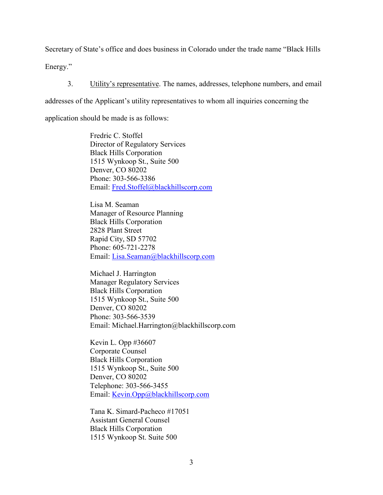Secretary of State's office and does business in Colorado under the trade name "Black Hills

Energy."

3. Utility's representative. The names, addresses, telephone numbers, and email

addresses of the Applicant's utility representatives to whom all inquiries concerning the

application should be made is as follows:

Fredric C. Stoffel Director of Regulatory Services Black Hills Corporation 1515 Wynkoop St., Suite 500 Denver, CO 80202 Phone: 303-566-3386 Email: [Fred.Stoffel@blackhillscorp.com](mailto:Fred.Stoffel@blackhillscorp.com)

Lisa M. Seaman Manager of Resource Planning Black Hills Corporation 2828 Plant Street Rapid City, SD 57702 Phone: 605-721-2278 Email: [Lisa.Seaman@blackhillscorp.com](mailto:Lisa.Seaman@blackhillscorp.com)

Michael J. Harrington Manager Regulatory Services Black Hills Corporation 1515 Wynkoop St., Suite 500 Denver, CO 80202 Phone: 303-566-3539 Email: Michael.Harrington@blackhillscorp.com

Kevin L. Opp #36607 Corporate Counsel Black Hills Corporation 1515 Wynkoop St., Suite 500 Denver, CO 80202 Telephone: 303-566-3455 Email: [Kevin.Opp@blackhillscorp.com](mailto:Kevin.Opp@blackhillscorp.com)

Tana K. Simard-Pacheco #17051 Assistant General Counsel Black Hills Corporation 1515 Wynkoop St. Suite 500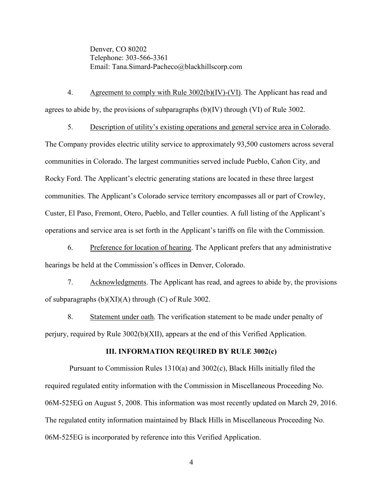Denver, CO 80202 Telephone: 303-566-3361 Email: Tana.Simard-Pacheco@blackhillscorp.com

 4. Agreement to comply with Rule 3002(b)(IV)-(VI). The Applicant has read and agrees to abide by, the provisions of subparagraphs (b)(IV) through (VI) of Rule 3002.

5. Description of utility's existing operations and general service area in Colorado.

The Company provides electric utility service to approximately 93,500 customers across several communities in Colorado. The largest communities served include Pueblo, Cañon City, and Rocky Ford. The Applicant's electric generating stations are located in these three largest communities. The Applicant's Colorado service territory encompasses all or part of Crowley, Custer, El Paso, Fremont, Otero, Pueblo, and Teller counties. A full listing of the Applicant's operations and service area is set forth in the Applicant's tariffs on file with the Commission.

 6. Preference for location of hearing. The Applicant prefers that any administrative hearings be held at the Commission's offices in Denver, Colorado.

 7. Acknowledgments. The Applicant has read, and agrees to abide by, the provisions of subparagraphs  $(b)(XI)(A)$  through  $(C)$  of Rule 3002.

8. Statement under oath. The verification statement to be made under penalty of perjury, required by Rule 3002(b)(XII), appears at the end of this Verified Application.

# **III. INFORMATION REQUIRED BY RULE 3002(c)**

 Pursuant to Commission Rules 1310(a) and 3002(c), Black Hills initially filed the required regulated entity information with the Commission in Miscellaneous Proceeding No. 06M-525EG on August 5, 2008. This information was most recently updated on March 29, 2016. The regulated entity information maintained by Black Hills in Miscellaneous Proceeding No. 06M-525EG is incorporated by reference into this Verified Application.

4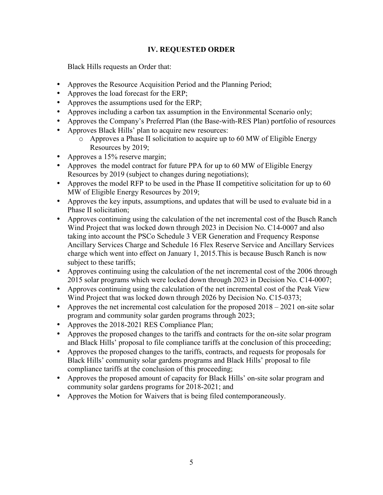# **IV. REQUESTED ORDER**

Black Hills requests an Order that:

- Approves the Resource Acquisition Period and the Planning Period;
- Approves the load forecast for the ERP:
- Approves the assumptions used for the ERP;
- Approves including a carbon tax assumption in the Environmental Scenario only;
- Approves the Company's Preferred Plan (the Base-with-RES Plan) portfolio of resources
- Approves Black Hills' plan to acquire new resources:
	- o Approves a Phase II solicitation to acquire up to 60 MW of Eligible Energy Resources by 2019;
- Approves a 15% reserve margin;
- Approves the model contract for future PPA for up to 60 MW of Eligible Energy Resources by 2019 (subject to changes during negotiations);
- Approves the model RFP to be used in the Phase II competitive solicitation for up to 60 MW of Eligible Energy Resources by 2019;
- Approves the key inputs, assumptions, and updates that will be used to evaluate bid in a Phase II solicitation;
- Approves continuing using the calculation of the net incremental cost of the Busch Ranch Wind Project that was locked down through 2023 in Decision No. C14-0007 and also taking into account the PSCo Schedule 3 VER Generation and Frequency Response Ancillary Services Charge and Schedule 16 Flex Reserve Service and Ancillary Services charge which went into effect on January 1, 2015.This is because Busch Ranch is now subject to these tariffs;
- Approves continuing using the calculation of the net incremental cost of the 2006 through 2015 solar programs which were locked down through 2023 in Decision No. C14-0007;
- Approves continuing using the calculation of the net incremental cost of the Peak View Wind Project that was locked down through 2026 by Decision No. C15-0373;
- Approves the net incremental cost calculation for the proposed  $2018 2021$  on-site solar program and community solar garden programs through 2023;
- Approves the 2018-2021 RES Compliance Plan;
- Approves the proposed changes to the tariffs and contracts for the on-site solar program and Black Hills' proposal to file compliance tariffs at the conclusion of this proceeding;
- Approves the proposed changes to the tariffs, contracts, and requests for proposals for Black Hills' community solar gardens programs and Black Hills' proposal to file compliance tariffs at the conclusion of this proceeding;
- Approves the proposed amount of capacity for Black Hills' on-site solar program and community solar gardens programs for 2018-2021; and
- Approves the Motion for Waivers that is being filed contemporaneously.